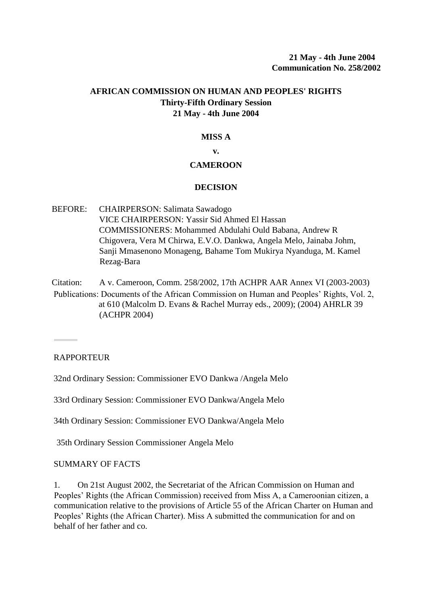# **AFRICAN COMMISSION ON HUMAN AND PEOPLES' RIGHTS Thirty-Fifth Ordinary Session 21 May - 4th June 2004**

## **MISS A**

**v.**

## **CAMEROON**

### **DECISION**

BEFORE: CHAIRPERSON: Salimata Sawadogo VICE CHAIRPERSON: Yassir Sid Ahmed El Hassan COMMISSIONERS: Mohammed Abdulahi Ould Babana, Andrew R Chigovera, Vera M Chirwa, E.V.O. Dankwa, Angela Melo, Jainaba Johm, Sanji Mmasenono Monageng, Bahame Tom Mukirya Nyanduga, M. Kamel Rezag-Bara

Citation: A v. Cameroon, Comm. 258/2002, 17th ACHPR AAR Annex VI (2003-2003) Publications: Documents of the African Commission on Human and Peoples' Rights, Vol. 2, at 610 (Malcolm D. Evans & Rachel Murray eds., 2009); (2004) AHRLR 39 (ACHPR 2004)

## **RAPPORTEUR**

32nd Ordinary Session: Commissioner EVO Dankwa /Angela Melo

33rd Ordinary Session: Commissioner EVO Dankwa/Angela Melo

34th Ordinary Session: Commissioner EVO Dankwa/Angela Melo

35th Ordinary Session Commissioner Angela Melo

#### SUMMARY OF FACTS

1. On 21st August 2002, the Secretariat of the African Commission on Human and Peoples' Rights (the African Commission) received from Miss A, a Cameroonian citizen, a communication relative to the provisions of Article 55 of the African Charter on Human and Peoples' Rights (the African Charter). Miss A submitted the communication for and on behalf of her father and co.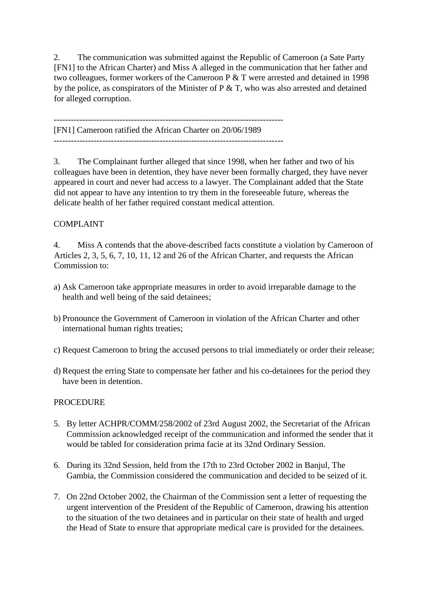2. The communication was submitted against the Republic of Cameroon (a Sate Party [FN1] to the African Charter) and Miss A alleged in the communication that her father and two colleagues, former workers of the Cameroon P & T were arrested and detained in 1998 by the police, as conspirators of the Minister of P  $&$  T, who was also arrested and detained for alleged corruption.

-------------------------------------------------------------------------------- [FN1] Cameroon ratified the African Charter on 20/06/1989

3. The Complainant further alleged that since 1998, when her father and two of his colleagues have been in detention, they have never been formally charged, they have never appeared in court and never had access to a lawyer. The Complainant added that the State did not appear to have any intention to try them in the foreseeable future, whereas the delicate health of her father required constant medical attention.

# COMPLAINT

4. Miss A contends that the above-described facts constitute a violation by Cameroon of Articles 2, 3, 5, 6, 7, 10, 11, 12 and 26 of the African Charter, and requests the African Commission to:

- a) Ask Cameroon take appropriate measures in order to avoid irreparable damage to the health and well being of the said detainees;
- b) Pronounce the Government of Cameroon in violation of the African Charter and other international human rights treaties;
- c) Request Cameroon to bring the accused persons to trial immediately or order their release;
- d) Request the erring State to compensate her father and his co-detainees for the period they have been in detention.

# **PROCEDURE**

- 5. By letter ACHPR/COMM/258/2002 of 23rd August 2002, the Secretariat of the African Commission acknowledged receipt of the communication and informed the sender that it would be tabled for consideration prima facie at its 32nd Ordinary Session.
- 6. During its 32nd Session, held from the 17th to 23rd October 2002 in Banjul, The Gambia, the Commission considered the communication and decided to be seized of it.
- 7. On 22nd October 2002, the Chairman of the Commission sent a letter of requesting the urgent intervention of the President of the Republic of Cameroon, drawing his attention to the situation of the two detainees and in particular on their state of health and urged the Head of State to ensure that appropriate medical care is provided for the detainees.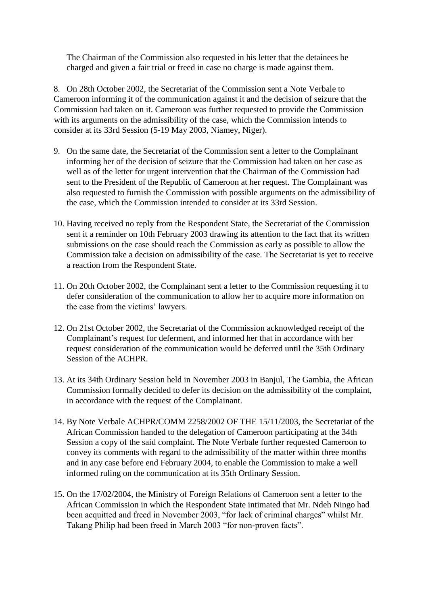The Chairman of the Commission also requested in his letter that the detainees be charged and given a fair trial or freed in case no charge is made against them.

8. On 28th October 2002, the Secretariat of the Commission sent a Note Verbale to Cameroon informing it of the communication against it and the decision of seizure that the Commission had taken on it. Cameroon was further requested to provide the Commission with its arguments on the admissibility of the case, which the Commission intends to consider at its 33rd Session (5-19 May 2003, Niamey, Niger).

- 9. On the same date, the Secretariat of the Commission sent a letter to the Complainant informing her of the decision of seizure that the Commission had taken on her case as well as of the letter for urgent intervention that the Chairman of the Commission had sent to the President of the Republic of Cameroon at her request. The Complainant was also requested to furnish the Commission with possible arguments on the admissibility of the case, which the Commission intended to consider at its 33rd Session.
- 10. Having received no reply from the Respondent State, the Secretariat of the Commission sent it a reminder on 10th February 2003 drawing its attention to the fact that its written submissions on the case should reach the Commission as early as possible to allow the Commission take a decision on admissibility of the case. The Secretariat is yet to receive a reaction from the Respondent State.
- 11. On 20th October 2002, the Complainant sent a letter to the Commission requesting it to defer consideration of the communication to allow her to acquire more information on the case from the victims' lawyers.
- 12. On 21st October 2002, the Secretariat of the Commission acknowledged receipt of the Complainant's request for deferment, and informed her that in accordance with her request consideration of the communication would be deferred until the 35th Ordinary Session of the ACHPR.
- 13. At its 34th Ordinary Session held in November 2003 in Banjul, The Gambia, the African Commission formally decided to defer its decision on the admissibility of the complaint, in accordance with the request of the Complainant.
- 14. By Note Verbale ACHPR/COMM 2258/2002 OF THE 15/11/2003, the Secretariat of the African Commission handed to the delegation of Cameroon participating at the 34th Session a copy of the said complaint. The Note Verbale further requested Cameroon to convey its comments with regard to the admissibility of the matter within three months and in any case before end February 2004, to enable the Commission to make a well informed ruling on the communication at its 35th Ordinary Session.
- 15. On the 17/02/2004, the Ministry of Foreign Relations of Cameroon sent a letter to the African Commission in which the Respondent State intimated that Mr. Ndeh Ningo had been acquitted and freed in November 2003, "for lack of criminal charges" whilst Mr. Takang Philip had been freed in March 2003 "for non-proven facts".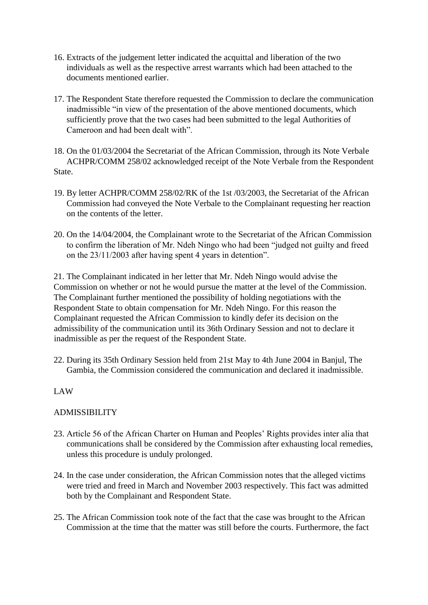- 16. Extracts of the judgement letter indicated the acquittal and liberation of the two individuals as well as the respective arrest warrants which had been attached to the documents mentioned earlier.
- 17. The Respondent State therefore requested the Commission to declare the communication inadmissible "in view of the presentation of the above mentioned documents, which sufficiently prove that the two cases had been submitted to the legal Authorities of Cameroon and had been dealt with".
- 18. On the 01/03/2004 the Secretariat of the African Commission, through its Note Verbale ACHPR/COMM 258/02 acknowledged receipt of the Note Verbale from the Respondent State.
- 19. By letter ACHPR/COMM 258/02/RK of the 1st /03/2003, the Secretariat of the African Commission had conveyed the Note Verbale to the Complainant requesting her reaction on the contents of the letter.
- 20. On the 14/04/2004, the Complainant wrote to the Secretariat of the African Commission to confirm the liberation of Mr. Ndeh Ningo who had been "judged not guilty and freed on the 23/11/2003 after having spent 4 years in detention".

21. The Complainant indicated in her letter that Mr. Ndeh Ningo would advise the Commission on whether or not he would pursue the matter at the level of the Commission. The Complainant further mentioned the possibility of holding negotiations with the Respondent State to obtain compensation for Mr. Ndeh Ningo. For this reason the Complainant requested the African Commission to kindly defer its decision on the admissibility of the communication until its 36th Ordinary Session and not to declare it inadmissible as per the request of the Respondent State.

22. During its 35th Ordinary Session held from 21st May to 4th June 2004 in Banjul, The Gambia, the Commission considered the communication and declared it inadmissible.

# LAW

## ADMISSIBILITY

- 23. Article 56 of the African Charter on Human and Peoples' Rights provides inter alia that communications shall be considered by the Commission after exhausting local remedies, unless this procedure is unduly prolonged.
- 24. In the case under consideration, the African Commission notes that the alleged victims were tried and freed in March and November 2003 respectively. This fact was admitted both by the Complainant and Respondent State.
- 25. The African Commission took note of the fact that the case was brought to the African Commission at the time that the matter was still before the courts. Furthermore, the fact